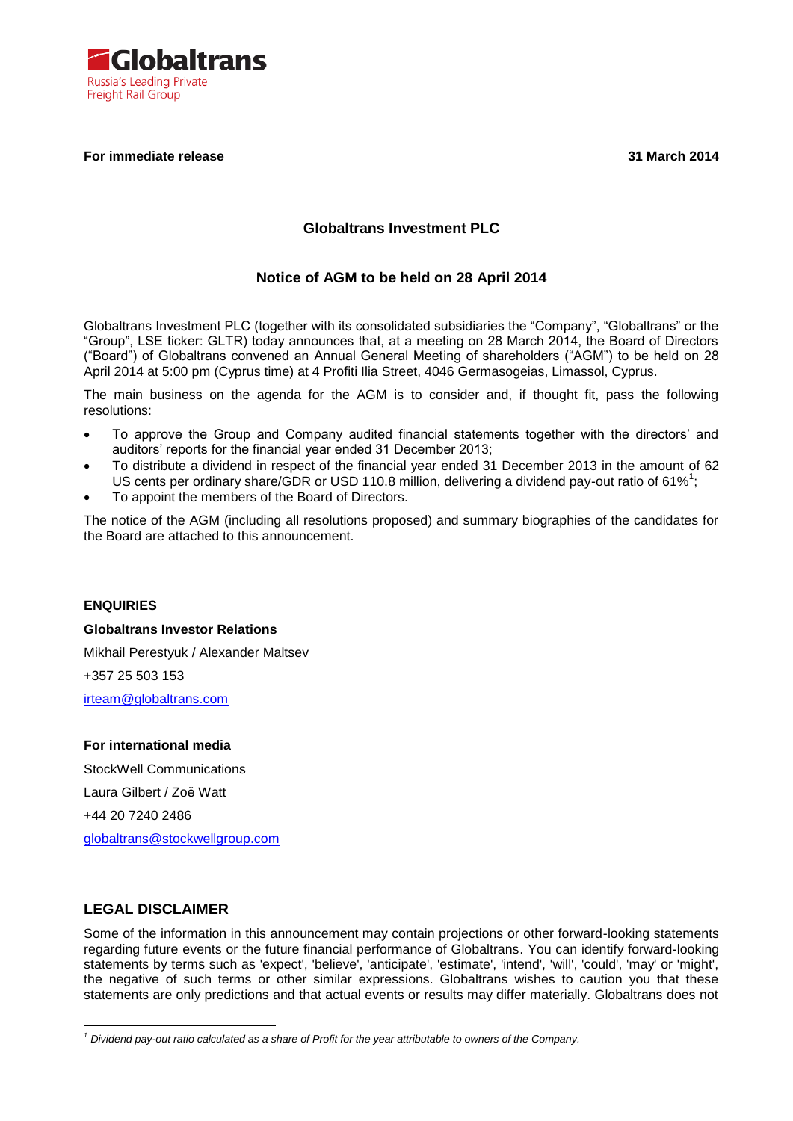

## **For immediate release 31 March 2014**

# **Globaltrans Investment PLC**

## **Notice of AGM to be held on 28 April 2014**

Globaltrans Investment PLC (together with its consolidated subsidiaries the "Company", "Globaltrans" or the "Group", LSE ticker: GLTR) today announces that, at a meeting on 28 March 2014, the Board of Directors ("Board") of Globaltrans convened an Annual General Meeting of shareholders ("AGM") to be held on 28 April 2014 at 5:00 pm (Cyprus time) at 4 Profiti Ilia Street, 4046 Germasogeias, Limassol, Cyprus.

The main business on the agenda for the AGM is to consider and, if thought fit, pass the following resolutions:

- To approve the Group and Company audited financial statements together with the directors' and auditors' reports for the financial year ended 31 December 2013;
- To distribute a dividend in respect of the financial year ended 31 December 2013 in the amount of 62 US cents per ordinary share/GDR or USD 110.8 million, delivering a dividend pay-out ratio of 61%<sup>1</sup>;
- To appoint the members of the Board of Directors.

The notice of the AGM (including all resolutions proposed) and summary biographies of the candidates for the Board are attached to this announcement.

#### **ENQUIRIES**

**Globaltrans Investor Relations** Mikhail Perestyuk / Alexander Maltsev +357 25 503 153 [irteam@globaltrans.com](mailto:irteam@globaltrans.com)

## **For international media**

StockWell Communications Laura Gilbert / Zoë Watt +44 20 7240 2486 [globaltrans@stockwellgroup.com](mailto:globaltrans@stockwellgroup.com)

# **LEGAL DISCLAIMER**

1

Some of the information in this announcement may contain projections or other forward-looking statements regarding future events or the future financial performance of Globaltrans. You can identify forward-looking statements by terms such as 'expect', 'believe', 'anticipate', 'estimate', 'intend', 'will', 'could', 'may' or 'might', the negative of such terms or other similar expressions. Globaltrans wishes to caution you that these statements are only predictions and that actual events or results may differ materially. Globaltrans does not

*<sup>1</sup> Dividend pay-out ratio calculated as a share of Profit for the year attributable to owners of the Company.*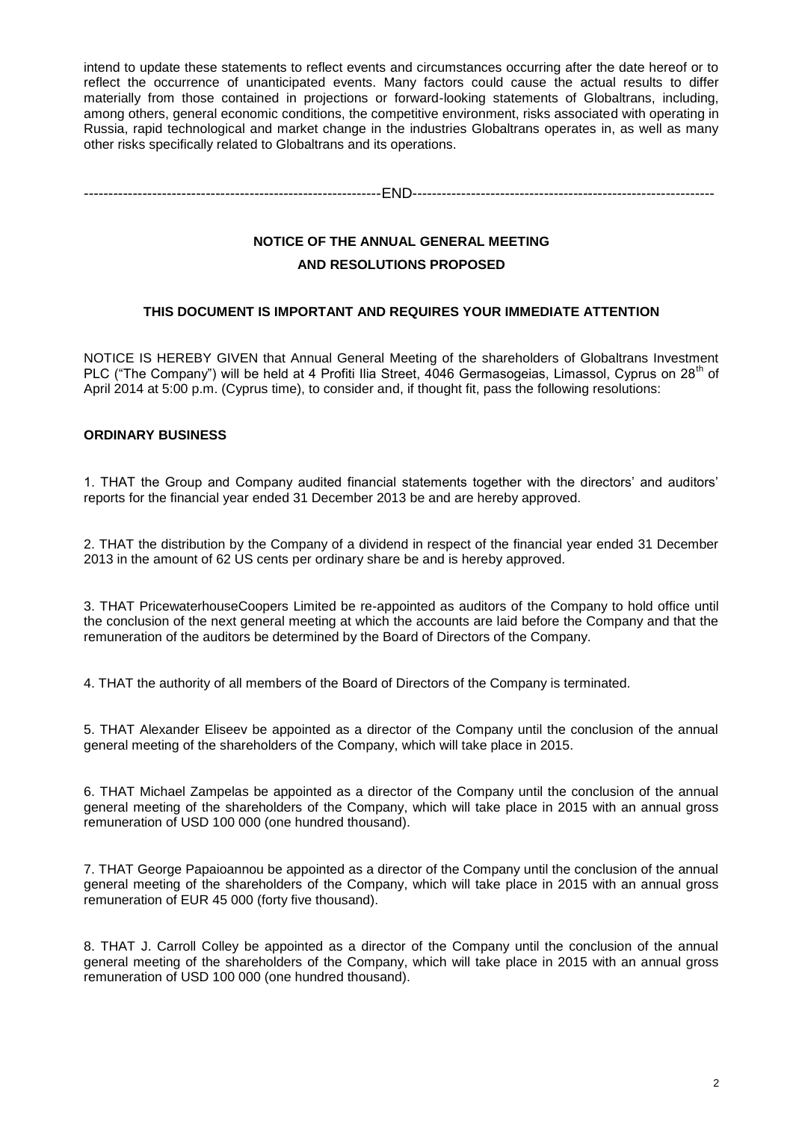intend to update these statements to reflect events and circumstances occurring after the date hereof or to reflect the occurrence of unanticipated events. Many factors could cause the actual results to differ materially from those contained in projections or forward-looking statements of Globaltrans, including, among others, general economic conditions, the competitive environment, risks associated with operating in Russia, rapid technological and market change in the industries Globaltrans operates in, as well as many other risks specifically related to Globaltrans and its operations.

-------------------------------------------------------------END--------------------------------------------------------------

# **NOTICE OF THE ANNUAL GENERAL MEETING AND RESOLUTIONS PROPOSED**

## **THIS DOCUMENT IS IMPORTANT AND REQUIRES YOUR IMMEDIATE ATTENTION**

NOTICE IS HEREBY GIVEN that Annual General Meeting of the shareholders of Globaltrans Investment PLC ("The Company") will be held at 4 Profiti Ilia Street, 4046 Germasogeias, Limassol, Cvprus on 28<sup>th</sup> of April 2014 at 5:00 p.m. (Cyprus time), to consider and, if thought fit, pass the following resolutions:

## **ORDINARY BUSINESS**

1. THAT the Group and Company audited financial statements together with the directors' and auditors' reports for the financial year ended 31 December 2013 be and are hereby approved.

2. THAT the distribution by the Company of a dividend in respect of the financial year ended 31 December 2013 in the amount of 62 US cents per ordinary share be and is hereby approved.

3. THAT PricewaterhouseCoopers Limited be re-appointed as auditors of the Company to hold office until the conclusion of the next general meeting at which the accounts are laid before the Company and that the remuneration of the auditors be determined by the Board of Directors of the Company.

4. THAT the authority of all members of the Board of Directors of the Company is terminated.

5. THAT Alexander Eliseev be appointed as a director of the Company until the conclusion of the annual general meeting of the shareholders of the Company, which will take place in 2015.

6. THAT Michael Zampelas be appointed as a director of the Company until the conclusion of the annual general meeting of the shareholders of the Company, which will take place in 2015 with an annual gross remuneration of USD 100 000 (one hundred thousand).

7. THAT George Papaioannou be appointed as a director of the Company until the conclusion of the annual general meeting of the shareholders of the Company, which will take place in 2015 with an annual gross remuneration of EUR 45 000 (forty five thousand).

8. THAT J. Carroll Colley be appointed as a director of the Company until the conclusion of the annual general meeting of the shareholders of the Company, which will take place in 2015 with an annual gross remuneration of USD 100 000 (one hundred thousand).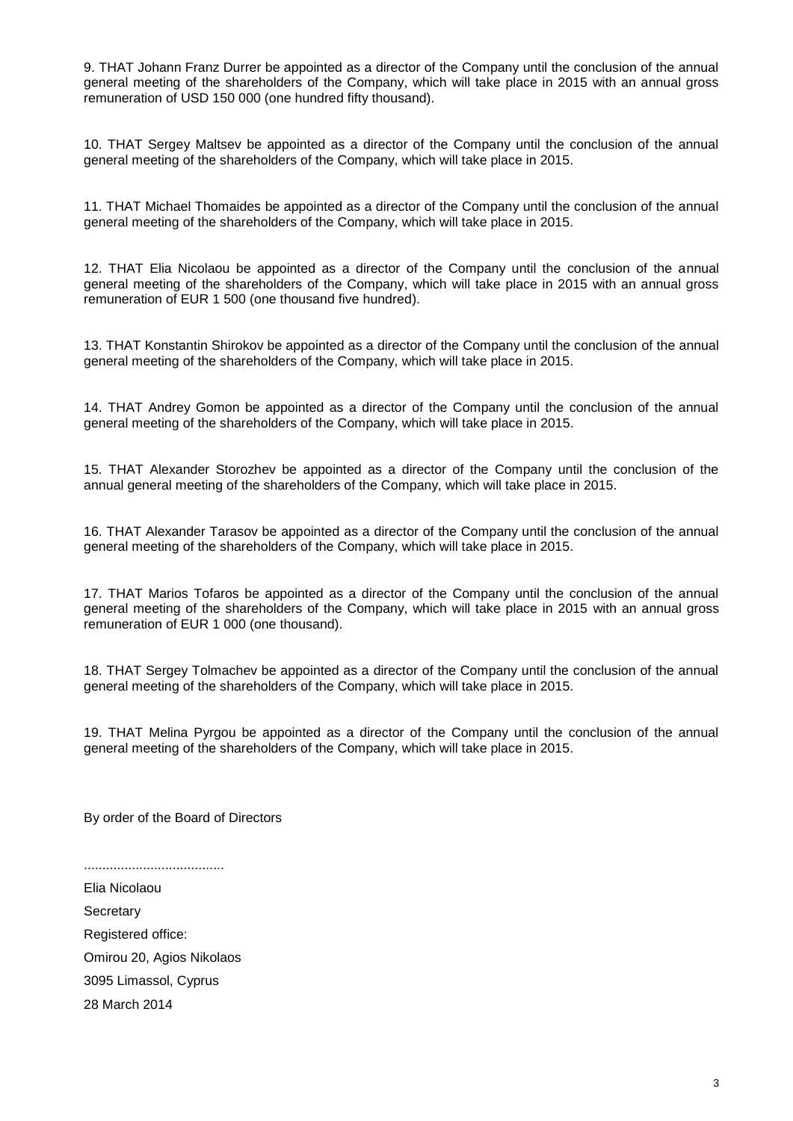9. THAT Johann Franz Durrer be appointed as a director of the Company until the conclusion of the annual general meeting of the shareholders of the Company, which will take place in 2015 with an annual gross remuneration of USD 150 000 (one hundred fifty thousand).

10. THAT Sergey Maltsev be appointed as a director of the Company until the conclusion of the annual general meeting of the shareholders of the Company, which will take place in 2015.

11. THAT Michael Thomaides be appointed as a director of the Company until the conclusion of the annual general meeting of the shareholders of the Company, which will take place in 2015.

12. THAT Elia Nicolaou be appointed as a director of the Company until the conclusion of the annual general meeting of the shareholders of the Company, which will take place in 2015 with an annual gross remuneration of EUR 1 500 (one thousand five hundred).

13. THAT Konstantin Shirokov be appointed as a director of the Company until the conclusion of the annual general meeting of the shareholders of the Company, which will take place in 2015.

14. THAT Andrey Gomon be appointed as a director of the Company until the conclusion of the annual general meeting of the shareholders of the Company, which will take place in 2015.

15. THAT Alexander Storozhev be appointed as a director of the Company until the conclusion of the annual general meeting of the shareholders of the Company, which will take place in 2015.

16. THAT Alexander Tarasov be appointed as a director of the Company until the conclusion of the annual general meeting of the shareholders of the Company, which will take place in 2015.

17. THAT Marios Tofaros be appointed as a director of the Company until the conclusion of the annual general meeting of the shareholders of the Company, which will take place in 2015 with an annual gross remuneration of EUR 1 000 (one thousand).

18. THAT Sergey Tolmachev be appointed as a director of the Company until the conclusion of the annual general meeting of the shareholders of the Company, which will take place in 2015.

19. THAT Melina Pyrgou be appointed as a director of the Company until the conclusion of the annual general meeting of the shareholders of the Company, which will take place in 2015.

By order of the Board of Directors

......................................

Elia Nicolaou **Secretary** Registered office: Omirou 20, Agios Nikolaos 3095 Limassol, Cyprus 28 March 2014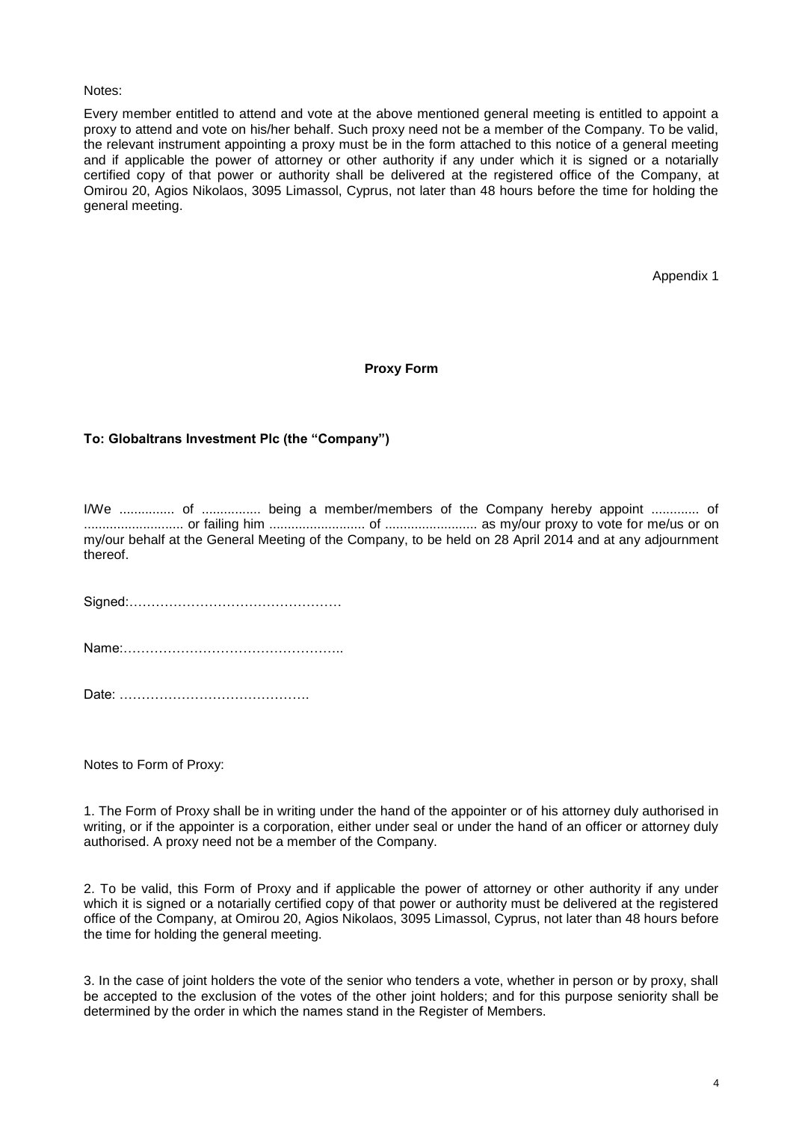#### Notes:

Every member entitled to attend and vote at the above mentioned general meeting is entitled to appoint a proxy to attend and vote on his/her behalf. Such proxy need not be a member of the Company. To be valid, the relevant instrument appointing a proxy must be in the form attached to this notice of a general meeting and if applicable the power of attorney or other authority if any under which it is signed or a notarially certified copy of that power or authority shall be delivered at the registered office of the Company, at Omirou 20, Agios Nikolaos, 3095 Limassol, Cyprus, not later than 48 hours before the time for holding the general meeting.

Appendix 1

#### **Proxy Form**

#### **To: Globaltrans Investment Plc (the "Company")**

I/We ............... of ................ being a member/members of the Company hereby appoint ............. of ........................... or failing him .......................... of ......................... as my/our proxy to vote for me/us or on my/our behalf at the General Meeting of the Company, to be held on 28 April 2014 and at any adjournment thereof.

Signed:…………………………………………

Name:…………………………………………..

Date: …………………………………….

Notes to Form of Proxy:

1. The Form of Proxy shall be in writing under the hand of the appointer or of his attorney duly authorised in writing, or if the appointer is a corporation, either under seal or under the hand of an officer or attorney duly authorised. A proxy need not be a member of the Company.

2. To be valid, this Form of Proxy and if applicable the power of attorney or other authority if any under which it is signed or a notarially certified copy of that power or authority must be delivered at the registered office of the Company, at Omirou 20, Agios Nikolaos, 3095 Limassol, Cyprus, not later than 48 hours before the time for holding the general meeting.

3. In the case of joint holders the vote of the senior who tenders a vote, whether in person or by proxy, shall be accepted to the exclusion of the votes of the other joint holders; and for this purpose seniority shall be determined by the order in which the names stand in the Register of Members.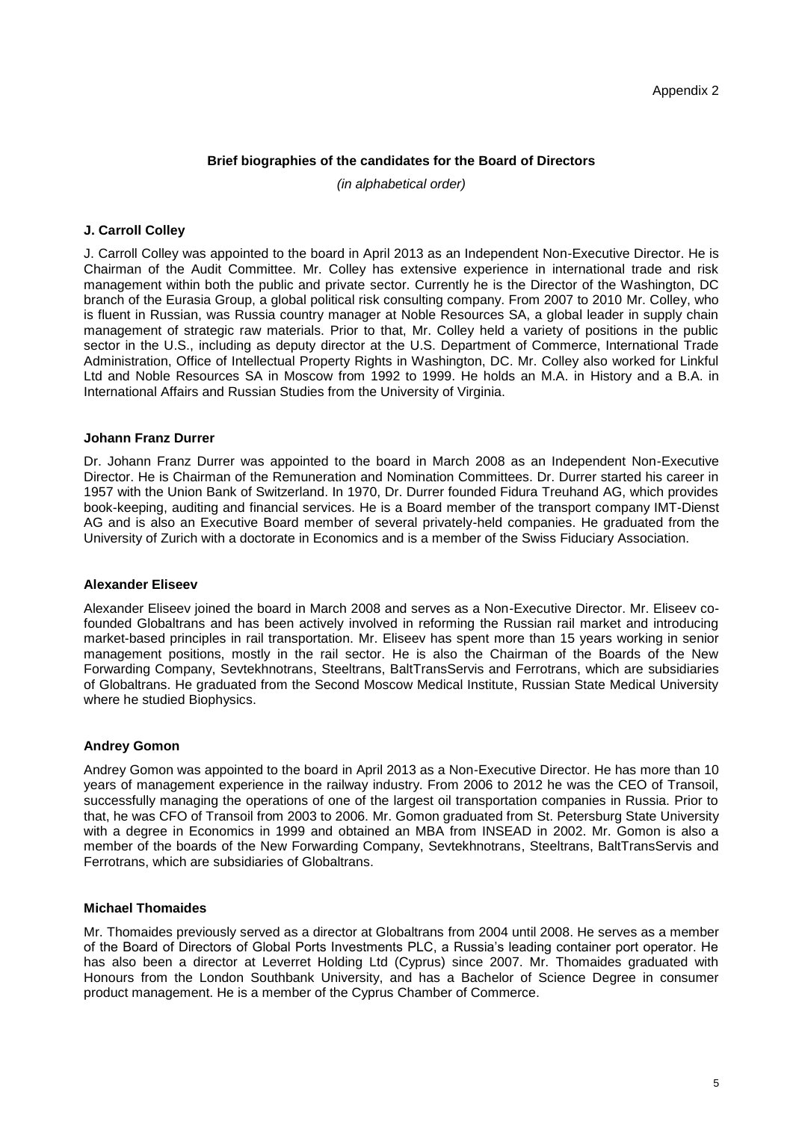## **Brief biographies of the candidates for the Board of Directors**

*(in alphabetical order)*

## **J. Carroll Colley**

J. Carroll Colley was appointed to the board in April 2013 as an Independent Non-Executive Director. He is Chairman of the Audit Committee. Mr. Colley has extensive experience in international trade and risk management within both the public and private sector. Currently he is the Director of the Washington, DC branch of the Eurasia Group, a global political risk consulting company. From 2007 to 2010 Mr. Colley, who is fluent in Russian, was Russia country manager at Noble Resources SA, a global leader in supply chain management of strategic raw materials. Prior to that, Mr. Colley held a variety of positions in the public sector in the U.S., including as deputy director at the U.S. Department of Commerce, International Trade Administration, Office of Intellectual Property Rights in Washington, DC. Mr. Colley also worked for Linkful Ltd and Noble Resources SA in Moscow from 1992 to 1999. He holds an M.A. in History and a B.A. in International Affairs and Russian Studies from the University of Virginia.

## **Johann Franz Durrer**

Dr. Johann Franz Durrer was appointed to the board in March 2008 as an Independent Non-Executive Director. He is Chairman of the Remuneration and Nomination Committees. Dr. Durrer started his career in 1957 with the Union Bank of Switzerland. In 1970, Dr. Durrer founded Fidura Treuhand AG, which provides book-keeping, auditing and financial services. He is a Board member of the transport company IMT-Dienst AG and is also an Executive Board member of several privately-held companies. He graduated from the University of Zurich with a doctorate in Economics and is a member of the Swiss Fiduciary Association.

#### **Alexander Eliseev**

Alexander Eliseev joined the board in March 2008 and serves as a Non-Executive Director. Mr. Eliseev cofounded Globaltrans and has been actively involved in reforming the Russian rail market and introducing market-based principles in rail transportation. Mr. Eliseev has spent more than 15 years working in senior management positions, mostly in the rail sector. He is also the Chairman of the Boards of the New Forwarding Company, Sevtekhnotrans, Steeltrans, BaltTransServis and Ferrotrans, which are subsidiaries of Globaltrans. He graduated from the Second Moscow Medical Institute, Russian State Medical University where he studied Biophysics.

## **Andrey Gomon**

Andrey Gomon was appointed to the board in April 2013 as a Non-Executive Director. He has more than 10 years of management experience in the railway industry. From 2006 to 2012 he was the CEO of Transoil, successfully managing the operations of one of the largest oil transportation companies in Russia. Prior to that, he was CFO of Transoil from 2003 to 2006. Mr. Gomon graduated from St. Petersburg State University with a degree in Economics in 1999 and obtained an MBA from INSEAD in 2002. Mr. Gomon is also a member of the boards of the New Forwarding Company, Sevtekhnotrans, Steeltrans, BaltTransServis and Ferrotrans, which are subsidiaries of Globaltrans.

## **Michael Thomaides**

Mr. Thomaides previously served as a director at Globaltrans from 2004 until 2008. He serves as a member of the Board of Directors of Global Ports Investments PLC, a Russia's leading container port operator. He has also been a director at Leverret Holding Ltd (Cyprus) since 2007. Mr. Thomaides graduated with Honours from the London Southbank University, and has a Bachelor of Science Degree in consumer product management. He is a member of the Cyprus Chamber of Commerce.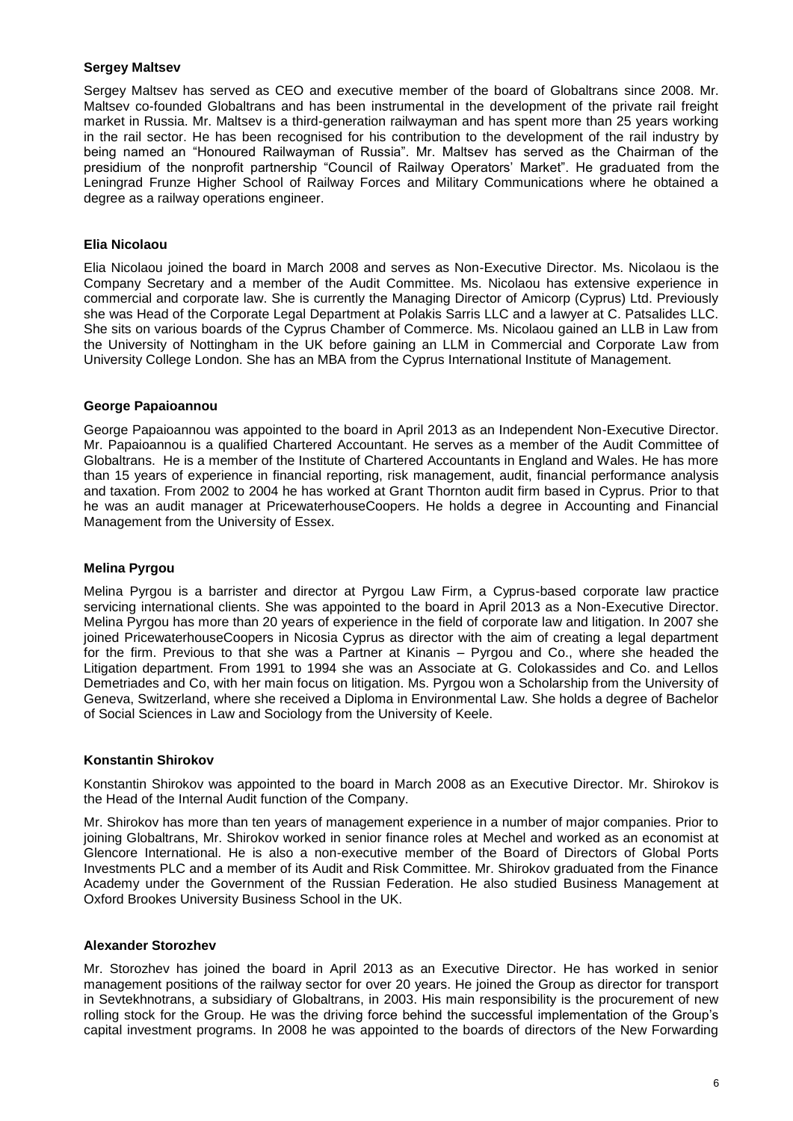#### **Sergey Maltsev**

Sergey Maltsev has served as CEO and executive member of the board of Globaltrans since 2008. Mr. Maltsev co-founded Globaltrans and has been instrumental in the development of the private rail freight market in Russia. Mr. Maltsev is a third-generation railwayman and has spent more than 25 years working in the rail sector. He has been recognised for his contribution to the development of the rail industry by being named an "Honoured Railwayman of Russia". Mr. Maltsev has served as the Chairman of the presidium of the nonprofit partnership "Council of Railway Operators' Market". He graduated from the Leningrad Frunze Higher School of Railway Forces and Military Communications where he obtained a degree as a railway operations engineer.

#### **Elia Nicolaou**

Elia Nicolaou joined the board in March 2008 and serves as Non-Executive Director. Ms. Nicolaou is the Company Secretary and a member of the Audit Committee. Ms. Nicolaou has extensive experience in commercial and corporate law. She is currently the Managing Director of Amicorp (Cyprus) Ltd. Previously she was Head of the Corporate Legal Department at Polakis Sarris LLC and a lawyer at C. Patsalides LLC. She sits on various boards of the Cyprus Chamber of Commerce. Ms. Nicolaou gained an LLB in Law from the University of Nottingham in the UK before gaining an LLM in Commercial and Corporate Law from University College London. She has an MBA from the Cyprus International Institute of Management.

#### **George Papaioannou**

George Papaioannou was appointed to the board in April 2013 as an Independent Non-Executive Director. Mr. Papaioannou is a qualified Chartered Accountant. He serves as a member of the Audit Committee of Globaltrans. He is a member of the Institute of Chartered Accountants in England and Wales. He has more than 15 years of experience in financial reporting, risk management, audit, financial performance analysis and taxation. From 2002 to 2004 he has worked at Grant Thornton audit firm based in Cyprus. Prior to that he was an audit manager at PricewaterhouseCoopers. He holds a degree in Accounting and Financial Management from the University of Essex.

#### **Melina Pyrgou**

Melina Pyrgou is a barrister and director at Pyrgou Law Firm, a Cyprus-based corporate law practice servicing international clients. She was appointed to the board in April 2013 as a Non-Executive Director. Melina Pyrgou has more than 20 years of experience in the field of corporate law and litigation. In 2007 she joined PricewaterhouseCoopers in Nicosia Cyprus as director with the aim of creating a legal department for the firm. Previous to that she was a Partner at Kinanis – Pyrgou and Co., where she headed the Litigation department. From 1991 to 1994 she was an Associate at G. Colokassides and Co. and Lellos Demetriades and Co, with her main focus on litigation. Ms. Pyrgou won a Scholarship from the University of Geneva, Switzerland, where she received a Diploma in Environmental Law. She holds a degree of Bachelor of Social Sciences in Law and Sociology from the University of Keele.

#### **Konstantin Shirokov**

Konstantin Shirokov was appointed to the board in March 2008 as an Executive Director. Mr. Shirokov is the Head of the Internal Audit function of the Company.

Mr. Shirokov has more than ten years of management experience in a number of major companies. Prior to joining Globaltrans, Mr. Shirokov worked in senior finance roles at Mechel and worked as an economist at Glencore International. He is also a non-executive member of the Board of Directors of Global Ports Investments PLC and a member of its Audit and Risk Committee. Mr. Shirokov graduated from the Finance Academy under the Government of the Russian Federation. He also studied Business Management at Oxford Brookes University Business School in the UK.

#### **Alexander Storozhev**

Mr. Storozhev has joined the board in April 2013 as an Executive Director. He has worked in senior management positions of the railway sector for over 20 years. He joined the Group as director for transport in Sevtekhnotrans, a subsidiary of Globaltrans, in 2003. His main responsibility is the procurement of new rolling stock for the Group. He was the driving force behind the successful implementation of the Group's capital investment programs. In 2008 he was appointed to the boards of directors of the New Forwarding